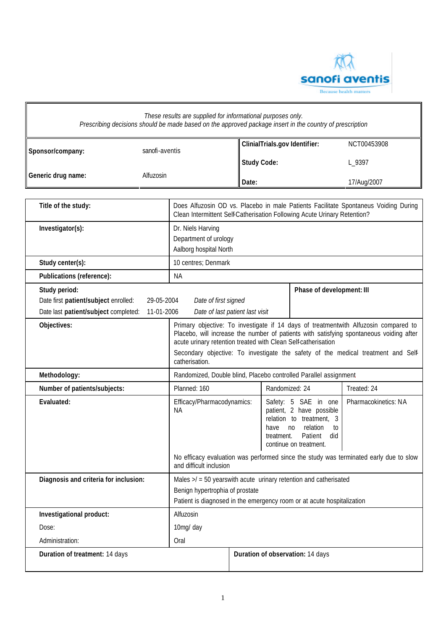

| Sponsor/company:                                                                              | sanofi-aventis           |                                                                                                                                                                                                                                                                                                                                                        |                    | ClinialTrials.gov Identifier:        |                                                                                                                                            | NCT00453908                                                                           |
|-----------------------------------------------------------------------------------------------|--------------------------|--------------------------------------------------------------------------------------------------------------------------------------------------------------------------------------------------------------------------------------------------------------------------------------------------------------------------------------------------------|--------------------|--------------------------------------|--------------------------------------------------------------------------------------------------------------------------------------------|---------------------------------------------------------------------------------------|
|                                                                                               |                          |                                                                                                                                                                                                                                                                                                                                                        | <b>Study Code:</b> |                                      |                                                                                                                                            | L_9397                                                                                |
| Generic drug name:                                                                            | Alfuzosin                |                                                                                                                                                                                                                                                                                                                                                        | Date:              |                                      |                                                                                                                                            | 17/Aug/2007                                                                           |
| Title of the study:                                                                           |                          | Clean Intermittent Self-Catherisation Following Acute Urinary Retention?                                                                                                                                                                                                                                                                               |                    |                                      |                                                                                                                                            | Does Alfuzosin OD vs. Placebo in male Patients Facilitate Spontaneus Voiding During   |
| Investigator(s):                                                                              |                          | Dr. Niels Harving<br>Department of urology<br>Aalborg hospital North                                                                                                                                                                                                                                                                                   |                    |                                      |                                                                                                                                            |                                                                                       |
| Study center(s):                                                                              |                          | 10 centres; Denmark                                                                                                                                                                                                                                                                                                                                    |                    |                                      |                                                                                                                                            |                                                                                       |
| Publications (reference):                                                                     |                          | <b>NA</b>                                                                                                                                                                                                                                                                                                                                              |                    |                                      |                                                                                                                                            |                                                                                       |
| Study period:<br>Date first patient/subject enrolled:<br>Date last patient/subject completed: | 29-05-2004<br>11-01-2006 | Date of first signed<br>Date of last patient last visit                                                                                                                                                                                                                                                                                                |                    |                                      | Phase of development: III                                                                                                                  |                                                                                       |
| Objectives:                                                                                   |                          | Primary objective: To investigate if 14 days of treatmentwith Alfuzosin compared to<br>Placebo, will increase the number of patients with satisfying spontaneous voiding after<br>acute urinary retention treated with Clean Self-catherisation<br>Secondary objective: To investigate the safety of the medical treatment and Self-<br>catherisation. |                    |                                      |                                                                                                                                            |                                                                                       |
|                                                                                               |                          |                                                                                                                                                                                                                                                                                                                                                        |                    |                                      |                                                                                                                                            |                                                                                       |
| Methodology:                                                                                  |                          | Randomized, Double blind, Placebo controlled Parallel assignment                                                                                                                                                                                                                                                                                       |                    |                                      |                                                                                                                                            |                                                                                       |
| Number of patients/subjects:                                                                  |                          | Planned: 160                                                                                                                                                                                                                                                                                                                                           |                    | Randomized: 24                       |                                                                                                                                            | Treated: 24                                                                           |
| Evaluated:                                                                                    |                          | Efficacy/Pharmacodynamics:<br>NA.                                                                                                                                                                                                                                                                                                                      |                    | have<br>n <sub>0</sub><br>treatment. | Safety: 5 SAE in one<br>patient, 2 have possible<br>relation to treatment, 3<br>relation<br>to<br>Patient<br>did<br>continue on treatment. | Pharmacokinetics: NA                                                                  |
|                                                                                               |                          | and difficult inclusion                                                                                                                                                                                                                                                                                                                                |                    |                                      |                                                                                                                                            | No efficacy evaluation was performed since the study was terminated early due to slow |
| Diagnosis and criteria for inclusion:                                                         |                          | Males $>1 = 50$ yearswith acute urinary retention and catherisated<br>Benign hypertrophia of prostate<br>Patient is diagnosed in the emergency room or at acute hospitalization                                                                                                                                                                        |                    |                                      |                                                                                                                                            |                                                                                       |
| Investigational product:                                                                      |                          | Alfuzosin                                                                                                                                                                                                                                                                                                                                              |                    |                                      |                                                                                                                                            |                                                                                       |
| Dose:                                                                                         |                          | 10mg/ day                                                                                                                                                                                                                                                                                                                                              |                    |                                      |                                                                                                                                            |                                                                                       |